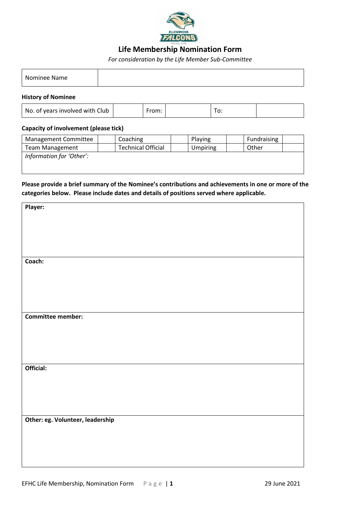

## **Life Membership Nomination Form**

*For consideration by the Life Member Sub-Committee*

| Nominee Name |  |
|--------------|--|
|--------------|--|

### **History of Nominee**

| No. of years involved with Club | rom: |  | $\sim$<br>ັບ |  |
|---------------------------------|------|--|--------------|--|
|---------------------------------|------|--|--------------|--|

### **Capacity of involvement (please tick)**

| Management Committee     | Coaching                  | Playing  | Fundraising |
|--------------------------|---------------------------|----------|-------------|
| <b>Team Management</b>   | <b>Technical Official</b> | Umpiring | Other       |
| Information for 'Other': |                           |          |             |
|                          |                           |          |             |
|                          |                           |          |             |

## **Please provide a brief summary of the Nominee's contributions and achievements in one or more of the categories below. Please include dates and details of positions served where applicable.**

| Player:                          |
|----------------------------------|
|                                  |
|                                  |
|                                  |
|                                  |
|                                  |
| Coach:                           |
|                                  |
|                                  |
|                                  |
|                                  |
|                                  |
| Committee member:                |
|                                  |
|                                  |
|                                  |
|                                  |
|                                  |
| Official:                        |
|                                  |
|                                  |
|                                  |
|                                  |
|                                  |
| Other: eg. Volunteer, leadership |
|                                  |
|                                  |
|                                  |
|                                  |
|                                  |